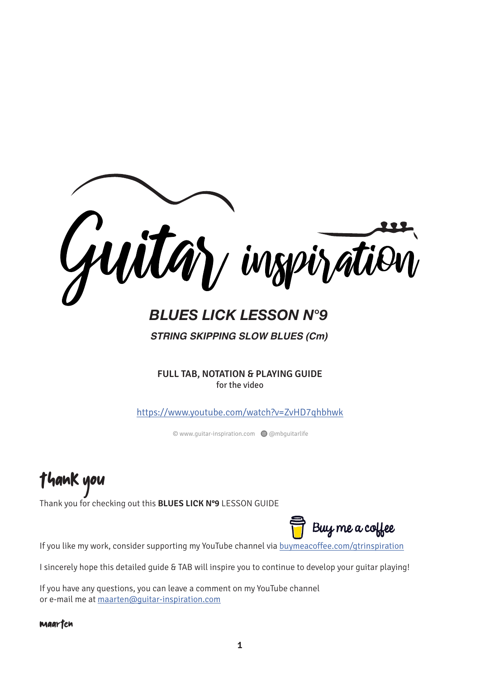

# *BLUES LICK LESSON N°9*

*STRING SKIPPING SLOW BLUES (Cm)*

**FULL TAB, NOTATION & PLAYING GUIDE** for the video

<https://www.youtube.com/watch?v=ZvHD7qhbhwk>

© www.guitar-inspiration.com Q @mbguitarlife

Thank you

Thank you for checking out this **BLUES LICK N°9** LESSON GUIDE



If you like my work, consider supporting my YouTube channel via [buymeacoffee.com/gtrinspiration](https://www.buymeacoffee.com/gtrinspiration)

I sincerely hope this detailed guide & TAB will inspire you to continue to develop your guitar playing!

If you have any questions, you can leave a comment on my YouTube channel or e-mail me at [maarten@guitar-inspiration.com](mailto:maarten@guitar-inspiration.com)

#### Maarten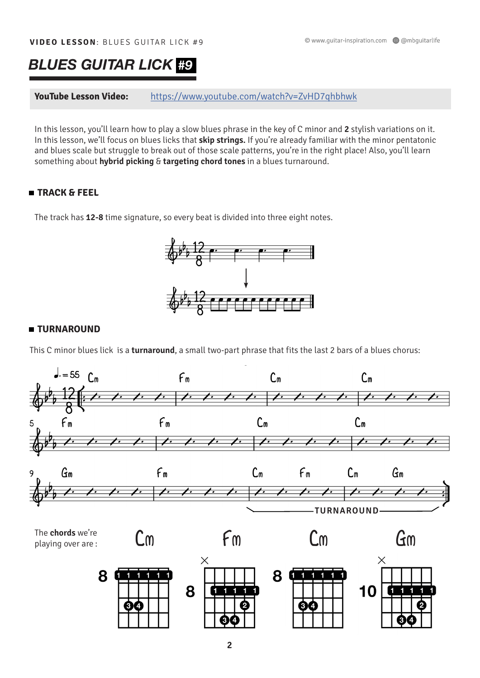# *BLUES GUITAR LICK #9*

**YouTube Lesson Video:** <https://www.youtube.com/watch?v=ZvHD7qhbhwk>

In this lesson, you'll learn how to play a slow blues phrase in the key of C minor and **2** stylish variations on it. In this lesson, we'll focus on blues licks that **skip strings.** If you're already familiar with the minor pentatonic and blues scale but struggle to break out of those scale patterns, you're in the right place! Also, you'll learn something about **hybrid picking** & **targeting chord tones** in a blues turnaround.

## **TRACK & FEEL**

The track has **12-8** time signature, so every beat is divided into three eight notes.



## **TURNAROUND**

This C minor blues lick is a **turnaround**, a small two-part phrase that fits the last 2 bars of a blues chorus:

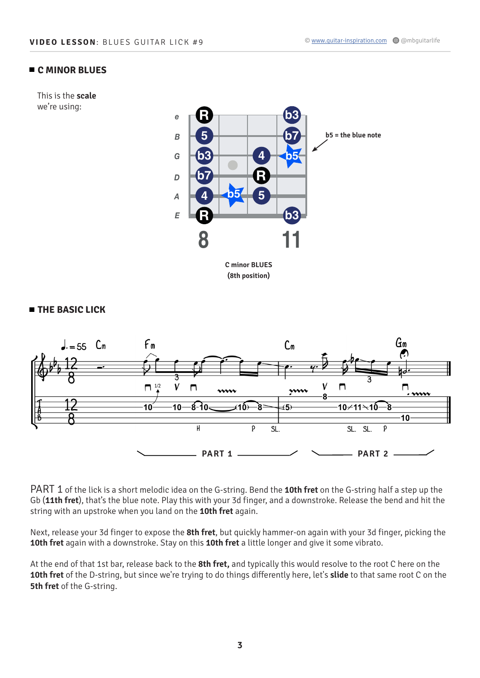#### **C MINOR BLUES**

This is the **scale** we're using:



**(8th position)** 



PART 1 of the lick is a short melodic idea on the G-string. Bend the **10th fret** on the G-string half a step up the Gb (**11th fret**), that's the blue note. Play this with your 3d finger, and a downstroke. Release the bend and hit the string with an upstroke when you land on the **10th fret** again.

Next, release your 3d finger to expose the **8th fret**, but quickly hammer-on again with your 3d finger, picking the **10th fret** again with a downstroke. Stay on this **10th fret** a little longer and give it some vibrato.

At the end of that 1st bar, release back to the **8th fret,** and typically this would resolve to the root C here on the **10th fret** of the D-string, but since we're trying to do things differently here, let's **slide** to that same root C on the **5th fret** of the G-string.

#### **THE BASIC LICK**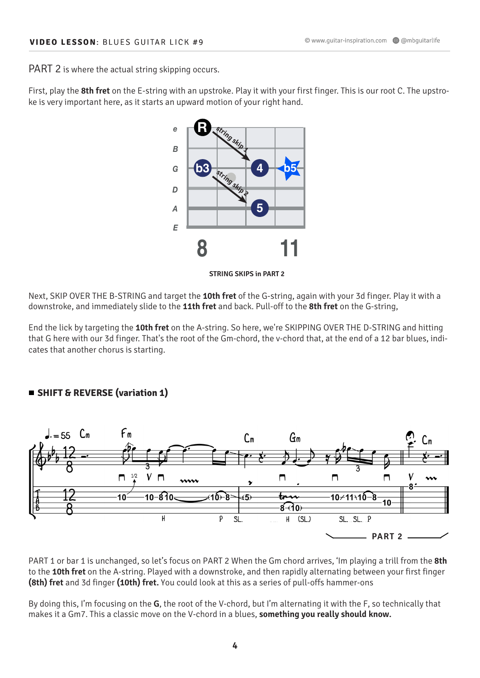PART 2 is where the actual string skipping occurs.

First, play the **8th fret** on the E-string with an upstroke. Play it with your first finger. This is our root C. The upstroke is very important here, as it starts an upward motion of your right hand.



**STRING SKIPS in PART 2**

Next, SKIP OVER THE B-STRING and target the **10th fret** of the G-string, again with your 3d finger. Play it with a downstroke, and immediately slide to the **11th fret** and back. Pull-off to the **8th fret** on the G-string,

End the lick by targeting the **10th fret** on the A-string. So here, we're SKIPPING OVER THE D-STRING and hitting that G here with our 3d finger. That's the root of the Gm-chord, the v-chord that, at the end of a 12 bar blues, indicates that another chorus is starting.

#### **SHIFT & REVERSE (variation 1)**



PART 1 or bar 1 is unchanged, so let's focus on PART 2 When the Gm chord arrives, 'Im playing a trill from the **8th**  to the **10th fret** on the A-string. Played with a downstroke, and then rapidly alternating between your first finger **(8th) fret** and 3d finger **(10th) fret.** You could look at this as a series of pull-offs hammer-ons

By doing this, I'm focusing on the **G**, the root of the V-chord, but I'm alternating it with the F, so technically that makes it a Gm7. This a classic move on the V-chord in a blues, **something you really should know.**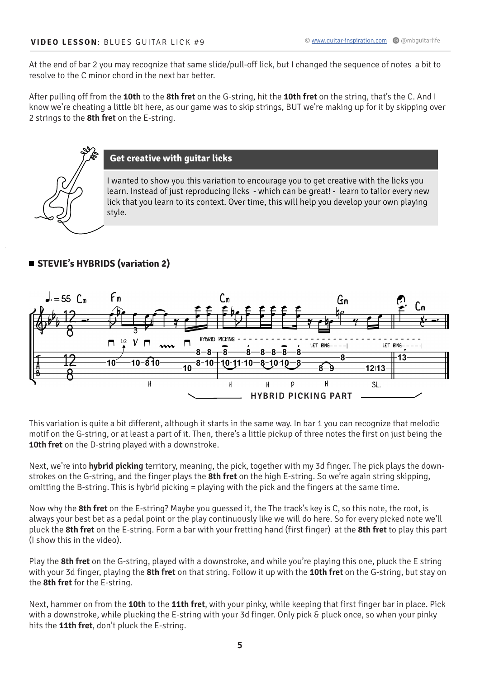At the end of bar 2 you may recognize that same slide/pull-off lick, but I changed the sequence of notes a bit to resolve to the C minor chord in the next bar better.

After pulling off from the **10th** to the **8th fret** on the G-string, hit the **10th fret** on the string, that's the C. And I know we're cheating a little bit here, as our game was to skip strings, BUT we're making up for it by skipping over 2 strings to the **8th fret** on the E-string.



### **Get creative with guitar licks**

I wanted to show you this variation to encourage you to get creative with the licks you learn. Instead of just reproducing licks - which can be great! - learn to tailor every new lick that you learn to its context. Over time, this will help you develop your own playing style.

# **STEVIE's HYBRIDS (variation 2)**



This variation is quite a bit different, although it starts in the same way. In bar 1 you can recognize that melodic motif on the G-string, or at least a part of it. Then, there's a little pickup of three notes the first on just being the **10th fret** on the D-string played with a downstroke.

Next, we're into **hybrid picking** territory, meaning, the pick, together with my 3d finger. The pick plays the downstrokes on the G-string, and the finger plays the **8th fret** on the high E-string. So we're again string skipping, omitting the B-string. This is hybrid picking = playing with the pick and the fingers at the same time.

Now why the **8th fret** on the E-string? Maybe you guessed it, the The track's key is C, so this note, the root, is always your best bet as a pedal point or the play continuously like we will do here. So for every picked note we'll pluck the **8th fret** on the E-string. Form a bar with your fretting hand (first finger) at the **8th fret** to play this part (I show this in the video).

Play the **8th fret** on the G-string, played with a downstroke, and while you're playing this one, pluck the E string with your 3d finger, playing the **8th fret** on that string. Follow it up with the **10th fret** on the G-string, but stay on the **8th fret** for the E-string.

Next, hammer on from the **10th** to the **11th fret**, with your pinky, while keeping that first finger bar in place. Pick with a downstroke, while plucking the E-string with your 3d finger. Only pick & pluck once, so when your pinky hits the **11th fret**, don't pluck the E-string.